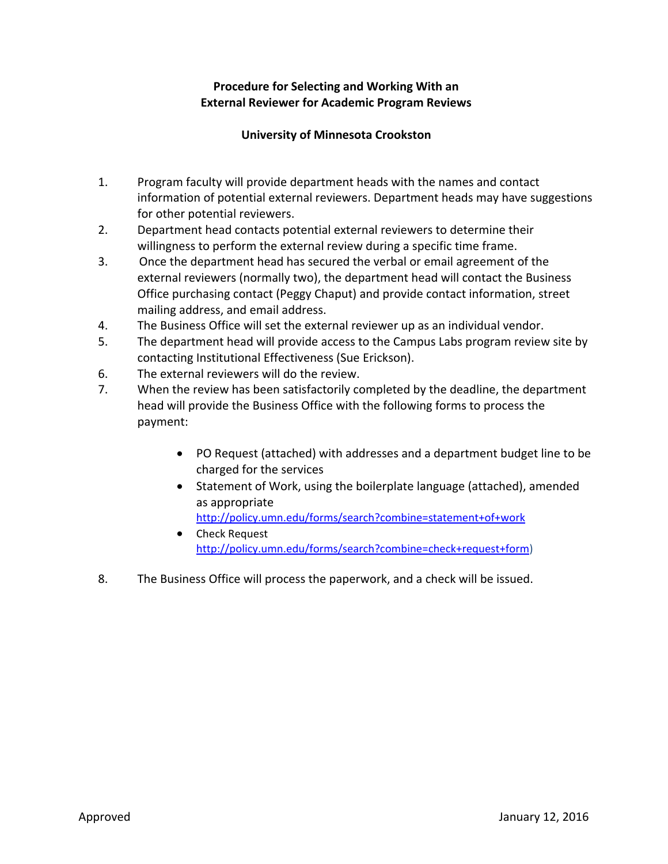#### **Procedure for Selecting and Working With an External Reviewer for Academic Program Reviews**

#### **University of Minnesota Crookston**

- 1. Program faculty will provide department heads with the names and contact information of potential external reviewers. Department heads may have suggestions for other potential reviewers.
- 2. Department head contacts potential external reviewers to determine their willingness to perform the external review during a specific time frame.
- 3. Once the department head has secured the verbal or email agreement of the external reviewers (normally two), the department head will contact the Business Office purchasing contact (Peggy Chaput) and provide contact information, street mailing address, and email address.
- 4. The Business Office will set the external reviewer up as an individual vendor.
- 5. The department head will provide access to the Campus Labs program review site by contacting Institutional Effectiveness (Sue Erickson).
- 6. The external reviewers will do the review.
- 7. When the review has been satisfactorily completed by the deadline, the department head will provide the Business Office with the following forms to process the payment:
	- PO Request (attached) with addresses and a department budget line to be charged for the services
	- Statement of Work, using the boilerplate language (attached), amended as appropriate http://policy.umn.edu/forms/search?combine=statement+of+work
	- **•** Check Request http://policy.umn.edu/forms/search?combine=check+request+form)
- 8. The Business Office will process the paperwork, and a check will be issued.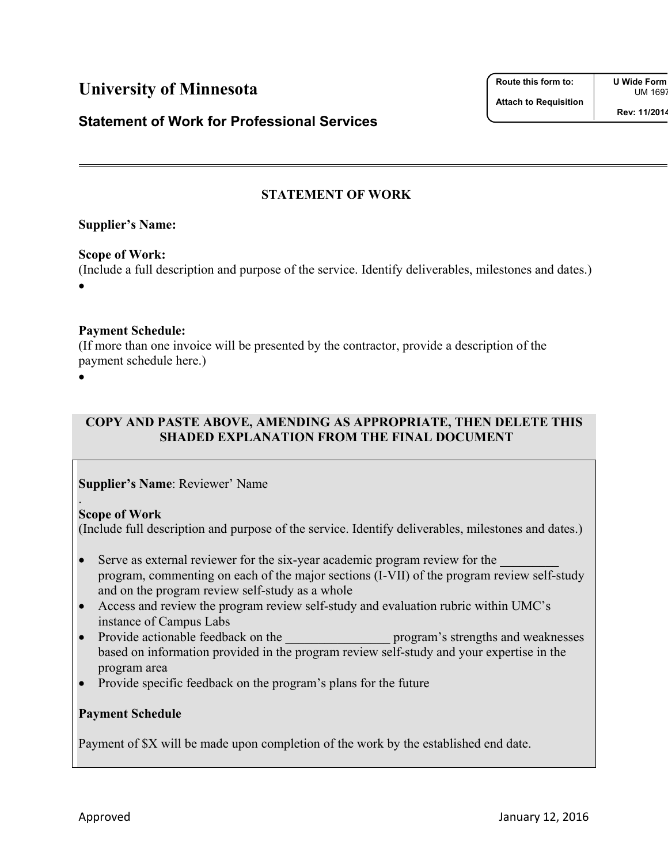## **University of Minnesota**

## **Statement of Work for Professional Services**

UM 1697

## **STATEMENT OF WORK**

## **Supplier's Name:**

## **Scope of Work:**

(Include a full description and purpose of the service. Identify deliverables, milestones and dates.)  $\bullet$ 

## **Payment Schedule:**

(If more than one invoice will be presented by the contractor, provide a description of the payment schedule here.)

 $\bullet$ 

.

### **COPY AND PASTE ABOVE, AMENDING AS APPROPRIATE, THEN DELETE THIS SHADED EXPLANATION FROM THE FINAL DOCUMENT**

**Supplier's Name**: Reviewer' Name

#### **Scope of Work**

(Include full description and purpose of the service. Identify deliverables, milestones and dates.)

- Serve as external reviewer for the six-year academic program review for the program, commenting on each of the major sections (I-VII) of the program review self-study and on the program review self-study as a whole
- Access and review the program review self-study and evaluation rubric within UMC's instance of Campus Labs
- Provide actionable feedback on the program's strengths and weaknesses based on information provided in the program review self-study and your expertise in the program area
- Provide specific feedback on the program's plans for the future

#### **Payment Schedule**

Payment of \$X will be made upon completion of the work by the established end date.